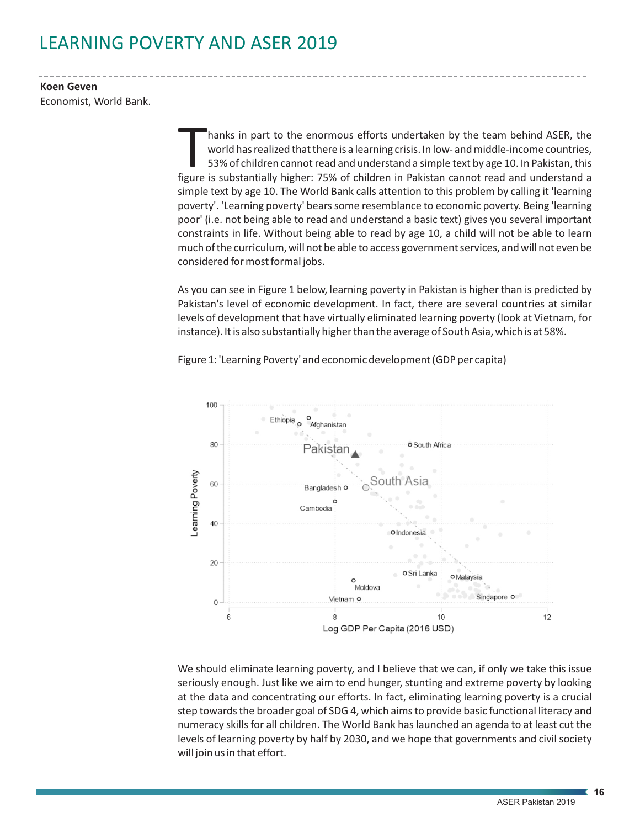## LEARNING POVERTY AND ASER 2019

**Koen Geven** Economist, World Bank.

> hanks in part to the enormous efforts undertaken by the team behind ASER, the world has realized that there is a learning crisis. In low- and middle-income countries, 53% of children cannot read and understand a simple tex 53% of children cannot read and understand a simple text by age 10. In Pakistan, this simple text by age 10. The World Bank calls attention to this problem by calling it 'learning poverty'. 'Learning poverty' bears some resemblance to economic poverty. Being 'learning poor' (i.e. not being able to read and understand a basic text) gives you several important constraints in life. Without being able to read by age 10, a child will not be able to learn much of the curriculum, will not be able to access government services, and will not even be considered for most formal jobs.

> As you can see in Figure 1 below, learning poverty in Pakistan is higher than is predicted by Pakistan's level of economic development. In fact, there are several countries at similar levels of development that have virtually eliminated learning poverty (look at Vietnam, for instance). It is also substantially higher than the average of South Asia, which is at 58%.



Figure 1: 'Learning Poverty' and economic development (GDP per capita)

We should eliminate learning poverty, and I believe that we can, if only we take this issue seriously enough. Just like we aim to end hunger, stunting and extreme poverty by looking at the data and concentrating our efforts. In fact, eliminating learning poverty is a crucial step towards the broader goal of SDG 4, which aims to provide basic functional literacy and numeracy skills for all children. The World Bank has launched an agenda to at least cut the levels of learning poverty by half by 2030, and we hope that governments and civil society will join us in that effort.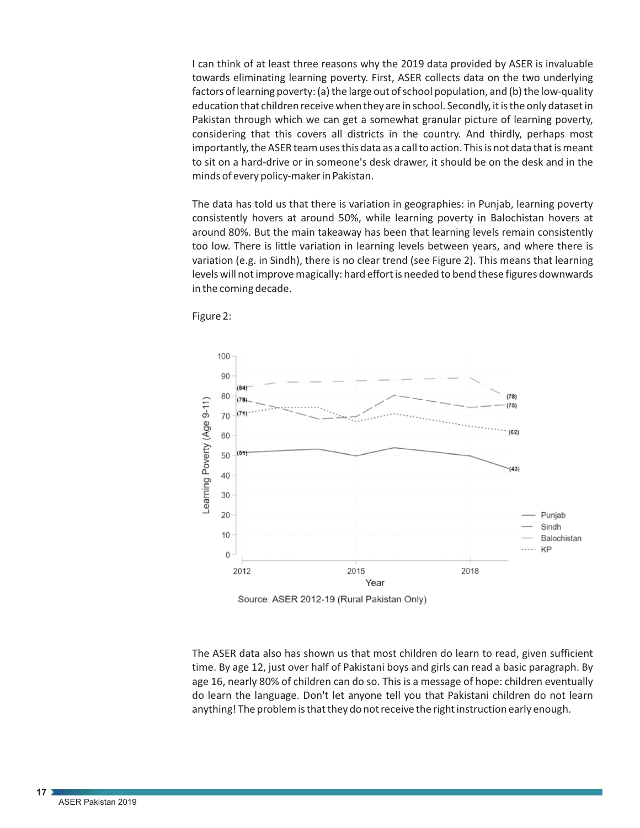I can think of at least three reasons why the 2019 data provided by ASER is invaluable towards eliminating learning poverty. First, ASER collects data on the two underlying factors of learning poverty: (a) the large out of school population, and (b) the low-quality education that children receive when they are in school. Secondly, it is the only dataset in Pakistan through which we can get a somewhat granular picture of learning poverty, considering that this covers all districts in the country. And thirdly, perhaps most importantly, the ASER team uses this data as a call to action. This is not data that is meant to sit on a hard-drive or in someone's desk drawer, it should be on the desk and in the minds of every policy-maker in Pakistan.

The data has told us that there is variation in geographies: in Punjab, learning poverty consistently hovers at around 50%, while learning poverty in Balochistan hovers at around 80%. But the main takeaway has been that learning levels remain consistently too low. There is little variation in learning levels between years, and where there is variation (e.g. in Sindh), there is no clear trend (see Figure 2). This means that learning levels will not improve magically: hard effort is needed to bend these figures downwards in the coming decade.





The ASER data also has shown us that most children do learn to read, given sufficient time. By age 12, just over half of Pakistani boys and girls can read a basic paragraph. By age 16, nearly 80% of children can do so. This is a message of hope: children eventually do learn the language. Don't let anyone tell you that Pakistani children do not learn anything! The problem is that they do not receive the right instruction early enough.

**17**